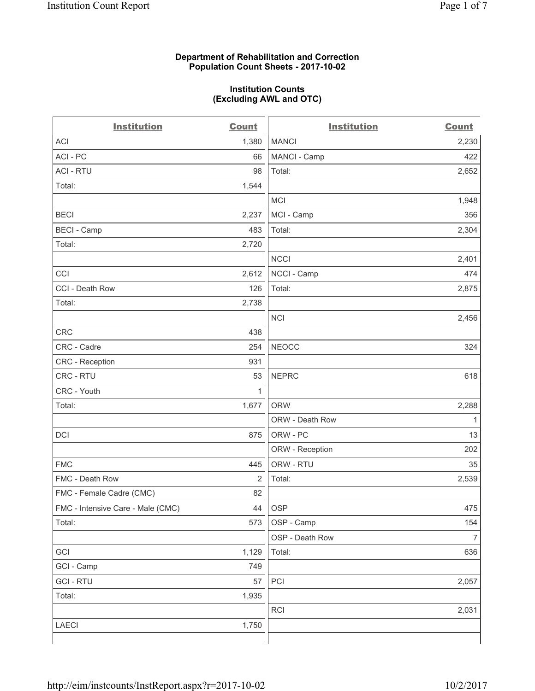### **Department of Rehabilitation and Correction Population Count Sheets - 2017-10-02**

#### **Institution Counts (Excluding AWL and OTC)**

 $-$ 

| <b>Institution</b>                | <b>Count</b> | <b>Institution</b> | <b>Count</b>   |
|-----------------------------------|--------------|--------------------|----------------|
| ACI                               | 1,380        | <b>MANCI</b>       | 2,230          |
| ACI-PC                            | 66           | MANCI - Camp       | 422            |
| <b>ACI - RTU</b>                  | 98           | Total:             | 2,652          |
| Total:                            | 1,544        |                    |                |
|                                   |              | MCI                | 1,948          |
| <b>BECI</b>                       | 2,237        | MCI - Camp         | 356            |
| <b>BECI</b> - Camp                | 483          | Total:             | 2,304          |
| Total:                            | 2,720        |                    |                |
|                                   |              | <b>NCCI</b>        | 2,401          |
| CCI                               | 2,612        | NCCI - Camp        | 474            |
| CCI - Death Row                   | 126          | Total:             | 2,875          |
| Total:                            | 2,738        |                    |                |
|                                   |              | <b>NCI</b>         | 2,456          |
| <b>CRC</b>                        | 438          |                    |                |
| CRC - Cadre                       | 254          | <b>NEOCC</b>       | 324            |
| CRC - Reception                   | 931          |                    |                |
| CRC - RTU                         | 53           | <b>NEPRC</b>       | 618            |
| CRC - Youth                       | 1            |                    |                |
| Total:                            | 1,677        | <b>ORW</b>         | 2,288          |
|                                   |              | ORW - Death Row    | 1              |
| DCI                               | 875          | ORW - PC           | 13             |
|                                   |              | ORW - Reception    | 202            |
| <b>FMC</b>                        | 445          | ORW - RTU          | 35             |
| FMC - Death Row                   | 2            | Total:             | 2,539          |
| FMC - Female Cadre (CMC)          | 82           |                    |                |
| FMC - Intensive Care - Male (CMC) | 44           | <b>OSP</b>         | 475            |
| Total:                            | 573          | OSP - Camp         | 154            |
|                                   |              | OSP - Death Row    | $\overline{7}$ |
| GCI                               | 1,129        | Total:             | 636            |
| GCI - Camp                        | 749          |                    |                |
| <b>GCI-RTU</b>                    | 57           | PCI                | 2,057          |
| Total:                            | 1,935        |                    |                |
|                                   |              | <b>RCI</b>         | 2,031          |
| LAECI                             | 1,750        |                    |                |
|                                   |              |                    |                |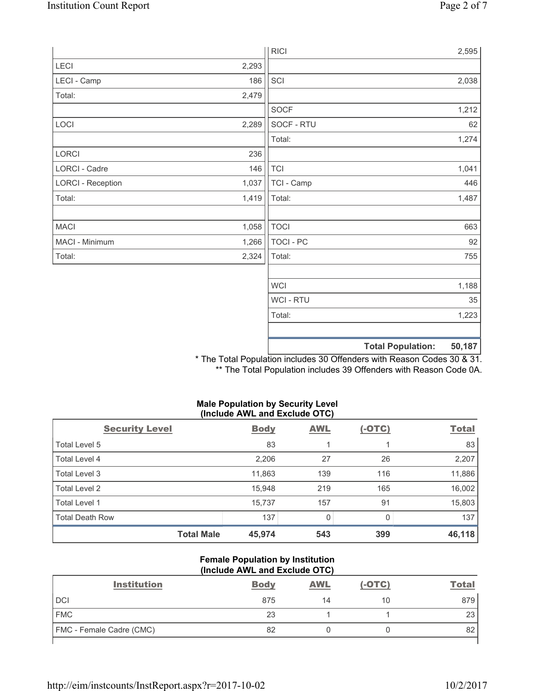|                          |       | <b>RICI</b> | 2,595                              |
|--------------------------|-------|-------------|------------------------------------|
| LECI                     | 2,293 |             |                                    |
| LECI - Camp              | 186   | SCI         | 2,038                              |
| Total:                   | 2,479 |             |                                    |
|                          |       | SOCF        | 1,212                              |
| LOCI                     | 2,289 | SOCF - RTU  | 62                                 |
|                          |       | Total:      | 1,274                              |
| LORCI                    | 236   |             |                                    |
| LORCI - Cadre            | 146   | <b>TCI</b>  | 1,041                              |
| <b>LORCI - Reception</b> | 1,037 | TCI - Camp  | 446                                |
| Total:                   | 1,419 | Total:      | 1,487                              |
|                          |       |             |                                    |
| <b>MACI</b>              | 1,058 | <b>TOCI</b> | 663                                |
| MACI - Minimum           | 1,266 | TOCI - PC   | 92                                 |
| Total:                   | 2,324 | Total:      | 755                                |
|                          |       |             |                                    |
|                          |       | <b>WCI</b>  | 1,188                              |
|                          |       | WCI - RTU   | 35                                 |
|                          |       | Total:      | 1,223                              |
|                          |       |             |                                    |
|                          |       |             | <b>Total Population:</b><br>50,187 |

\* The Total Population includes 30 Offenders with Reason Codes 30 & 31. \*\* The Total Population includes 39 Offenders with Reason Code 0A.

## **Male Population by Security Level (Include AWL and Exclude OTC)**

| <b>Security Level</b>  | <b>Body</b> | <b>AWL</b> | $(-OTC)$ | <b>Total</b> |
|------------------------|-------------|------------|----------|--------------|
| Total Level 5          | 83          |            |          | 83           |
| Total Level 4          | 2,206       | 27         | 26       | 2,207        |
| Total Level 3          | 11,863      | 139        | 116      | 11,886       |
| Total Level 2          | 15,948      | 219        | 165      | 16,002       |
| Total Level 1          | 15,737      | 157        | 91       | 15,803       |
| <b>Total Death Row</b> | 137         | 0          | 0        | 137          |
| <b>Total Male</b>      | 45,974      | 543        | 399      | 46, 118      |

#### **Female Population by Institution (Include AWL and Exclude OTC)**

| <b>Institution</b>              | <b>Body</b> | <b>AWL</b> | $(-OTC)$ | <b>Total</b> |
|---------------------------------|-------------|------------|----------|--------------|
| <b>DCI</b>                      | 875         | 14         | 10       | 879          |
| <b>FMC</b>                      | 23          |            |          | 23           |
| <b>FMC</b> - Female Cadre (CMC) | 82          |            |          | 82           |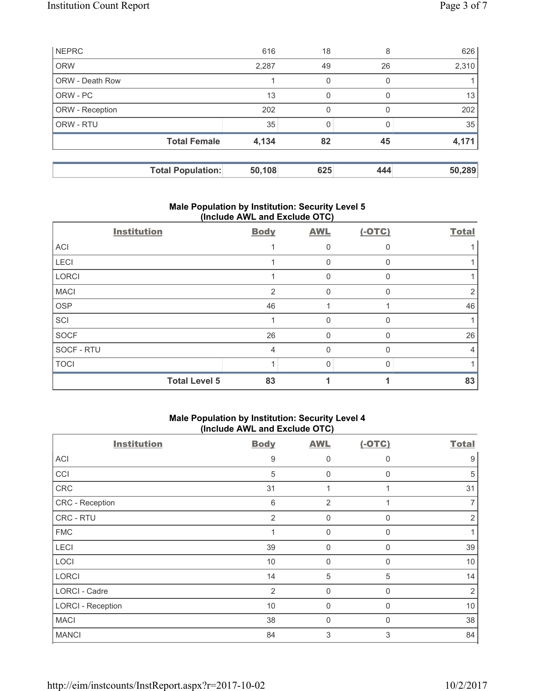| <b>NEPRC</b>           |                          | 616    | 18  | 8        | 626    |
|------------------------|--------------------------|--------|-----|----------|--------|
| <b>ORW</b>             |                          | 2,287  | 49  | 26       | 2,310  |
| <b>ORW - Death Row</b> |                          |        | 0   | $\Omega$ |        |
| ORW - PC               |                          | 13     | 0   | $\left($ | 13     |
| ORW - Reception        |                          | 202    | 0   | O        | 202    |
| ORW - RTU              |                          | 35     |     |          | 35     |
|                        | <b>Total Female</b>      | 4,134  | 82  | 45       | 4,171  |
|                        |                          |        |     |          |        |
|                        | <b>Total Population:</b> | 50,108 | 625 | 444      | 50,289 |

## **Male Population by Institution: Security Level 5 (Include AWL and Exclude OTC)**

| <b>Institution</b>   | <b>Body</b>    | <b>AWL</b> | $(-OTC)$ | <b>Total</b> |
|----------------------|----------------|------------|----------|--------------|
| <b>ACI</b>           |                |            |          |              |
| LECI                 |                | 0          |          |              |
| <b>LORCI</b>         |                | 0          | $\Omega$ |              |
| <b>MACI</b>          | $\overline{2}$ | $\Omega$   | $\Omega$ |              |
| <b>OSP</b>           | 46             |            |          | 46           |
| SCI                  |                | 0          | 0        |              |
| <b>SOCF</b>          | 26             | 0          | ∩        | 26           |
| SOCF - RTU           | 4              | U          |          | 4            |
| <b>TOCI</b>          |                | 0          |          |              |
| <b>Total Level 5</b> | 83             |            |          | 83           |

## **Male Population by Institution: Security Level 4 (Include AWL and Exclude OTC)**

| <b>Institution</b>       | <b>Body</b>    | <b>AWL</b>     | $(-OTC)$     | <b>Total</b>   |
|--------------------------|----------------|----------------|--------------|----------------|
| ACI                      | 9              | 0              | 0            | 9              |
| CCI                      | 5              | $\mathbf 0$    | $\Omega$     | 5              |
| CRC                      | 31             | 1              |              | 31             |
| CRC - Reception          | 6              | $\overline{2}$ |              |                |
| CRC - RTU                | 2              | $\mathbf 0$    | $\Omega$     | 2              |
| <b>FMC</b>               |                | $\mathbf 0$    | 0            |                |
| LECI                     | 39             | $\mathbf 0$    | $\mathbf{0}$ | 39             |
| LOCI                     | 10             | $\mathbf 0$    | 0            | 10             |
| <b>LORCI</b>             | 14             | 5              | 5            | 14             |
| LORCI - Cadre            | $\overline{2}$ | 0              | $\Omega$     | $\overline{2}$ |
| <b>LORCI - Reception</b> | 10             | $\mathbf 0$    | $\Omega$     | 10             |
| <b>MACI</b>              | 38             | 0              | 0            | 38             |
| <b>MANCI</b>             | 84             | 3              | 3            | 84             |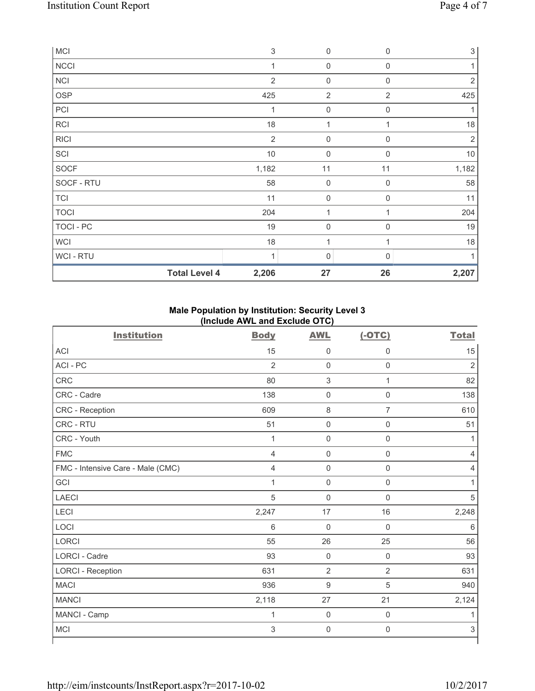| <b>MCI</b>  |                      | $\ensuremath{\mathsf{3}}$ | 0                   | $\mathbf 0$      | $\sqrt{3}$     |
|-------------|----------------------|---------------------------|---------------------|------------------|----------------|
| <b>NCCI</b> |                      | 1                         | $\mathsf{O}\xspace$ | $\boldsymbol{0}$ |                |
| <b>NCI</b>  |                      | $\overline{2}$            | $\mathsf{O}\xspace$ | $\mathbf 0$      | $\overline{2}$ |
| <b>OSP</b>  |                      | 425                       | $\overline{2}$      | $\overline{2}$   | 425            |
| PCI         |                      | 1                         | $\mathsf{O}\xspace$ | $\mathbf 0$      |                |
| <b>RCI</b>  |                      | 18                        | $\mathbf 1$         |                  | 18             |
| <b>RICI</b> |                      | $\overline{2}$            | $\mathsf{O}\xspace$ | $\mathbf 0$      | $\overline{2}$ |
| SCI         |                      | $10$                      | $\mathsf{O}\xspace$ | $\mathbf 0$      | $10$           |
| <b>SOCF</b> |                      | 1,182                     | 11                  | 11               | 1,182          |
| SOCF - RTU  |                      | 58                        | $\mathsf{O}\xspace$ | $\mathbf 0$      | 58             |
| <b>TCI</b>  |                      | 11                        | $\mathsf{O}\xspace$ | $\mathbf 0$      | 11             |
| <b>TOCI</b> |                      | 204                       | 1                   |                  | 204            |
| TOCI - PC   |                      | 19                        | $\mathsf{O}\xspace$ | $\mathbf 0$      | 19             |
| <b>WCI</b>  |                      | 18                        | 1                   |                  | 18             |
| WCI - RTU   |                      | 1                         | 0                   | $\Omega$         |                |
|             | <b>Total Level 4</b> | 2,206                     | 27                  | 26               | 2,207          |

# **Male Population by Institution: Security Level 3 (Include AWL and Exclude OTC)**

| <b>Institution</b>                | <b>Body</b>    | <b>AWL</b>                | $(-OTC)$       | <b>Total</b>   |
|-----------------------------------|----------------|---------------------------|----------------|----------------|
| <b>ACI</b>                        | 15             | $\mathsf{0}$              | $\mathbf 0$    | 15             |
| ACI-PC                            | $\overline{2}$ | $\mathsf{O}\xspace$       | $\mathsf 0$    | $\overline{2}$ |
| CRC                               | 80             | $\ensuremath{\mathsf{3}}$ | $\mathbf{1}$   | 82             |
| CRC - Cadre                       | 138            | $\mathsf{O}\xspace$       | $\mathsf 0$    | 138            |
| CRC - Reception                   | 609            | 8                         | $\overline{7}$ | 610            |
| CRC - RTU                         | 51             | $\mathsf{O}\xspace$       | $\mathsf 0$    | 51             |
| CRC - Youth                       | $\mathbf{1}$   | $\mathbf 0$               | $\mathsf 0$    | 1              |
| <b>FMC</b>                        | $\overline{4}$ | $\mathsf{O}\xspace$       | $\mathsf 0$    | 4              |
| FMC - Intensive Care - Male (CMC) | $\overline{4}$ | $\mathsf{O}\xspace$       | $\mathsf 0$    | $\overline{4}$ |
| GCI                               | $\mathbf{1}$   | $\mathsf{O}\xspace$       | $\mathsf 0$    | 1              |
| <b>LAECI</b>                      | $\sqrt{5}$     | $\mathsf{O}\xspace$       | $\mathsf 0$    | 5              |
| LECI                              | 2,247          | $17\,$                    | 16             | 2,248          |
| LOCI                              | 6              | $\mathsf{O}\xspace$       | $\mathbf 0$    | 6              |
| <b>LORCI</b>                      | 55             | 26                        | 25             | 56             |
| <b>LORCI - Cadre</b>              | 93             | $\mathbf 0$               | $\mathsf 0$    | 93             |
| <b>LORCI - Reception</b>          | 631            | $\overline{2}$            | $\sqrt{2}$     | 631            |
| <b>MACI</b>                       | 936            | $\boldsymbol{9}$          | 5              | 940            |
| <b>MANCI</b>                      | 2,118          | 27                        | 21             | 2,124          |
| MANCI - Camp                      | $\mathbf 1$    | $\mathsf{O}\xspace$       | $\mathbf 0$    | 1              |
| <b>MCI</b>                        | 3              | $\mathsf{O}\xspace$       | $\mathbf 0$    | $\mathsf 3$    |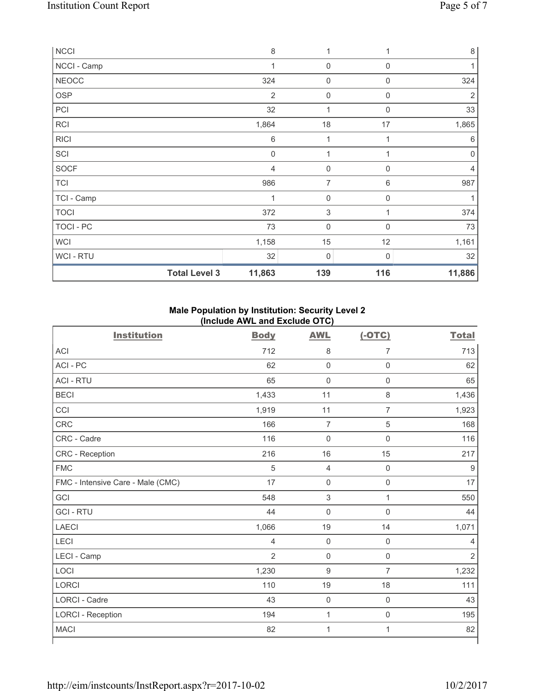| <b>NCCI</b>          | 8              | 1           |             | $\,8\,$   |
|----------------------|----------------|-------------|-------------|-----------|
| NCCI - Camp          | 1              | $\mathbf 0$ | $\mathbf 0$ | 1         |
| NEOCC                | 324            | $\mathbf 0$ | 0           | 324       |
| <b>OSP</b>           | $\overline{2}$ | $\mathbf 0$ | $\mathbf 0$ | 2         |
| PCI                  | 32             | 1           | $\mathbf 0$ | 33        |
| <b>RCI</b>           | 1,864          | $18$        | 17          | 1,865     |
| <b>RICI</b>          | 6              | 1           |             | 6         |
| SCI                  | $\mathbf 0$    | 1           | 1           | $\pmb{0}$ |
| <b>SOCF</b>          | 4              | $\mathbf 0$ | $\Omega$    | 4         |
| <b>TCI</b>           | 986            | 7           | 6           | 987       |
| TCI - Camp           | 1              | 0           | $\mathbf 0$ |           |
| <b>TOCI</b>          | 372            | $\mathsf 3$ |             | 374       |
| TOCI - PC            | 73             | $\mathbf 0$ | $\mathbf 0$ | 73        |
| <b>WCI</b>           | 1,158          | 15          | 12          | 1,161     |
| WCI - RTU            | 32             | 0           | 0           | 32        |
| <b>Total Level 3</b> | 11,863         | 139         | 116         | 11,886    |

# **Male Population by Institution: Security Level 2 (Include AWL and Exclude OTC)**

| <b>Institution</b>                | <b>Body</b>    | <b>AWL</b>          | $(-OTC)$            | <b>Total</b>   |
|-----------------------------------|----------------|---------------------|---------------------|----------------|
| <b>ACI</b>                        | 712            | $\,8\,$             | 7                   | 713            |
| ACI-PC                            | 62             | $\mathsf 0$         | $\mathsf{O}\xspace$ | 62             |
| <b>ACI - RTU</b>                  | 65             | $\mathbf 0$         | $\mathbf 0$         | 65             |
| <b>BECI</b>                       | 1,433          | 11                  | $\,8\,$             | 1,436          |
| CCI                               | 1,919          | 11                  | $\overline{7}$      | 1,923          |
| <b>CRC</b>                        | 166            | $\overline{7}$      | $\sqrt{5}$          | 168            |
| CRC - Cadre                       | 116            | $\mathsf{O}\xspace$ | $\mathbf 0$         | 116            |
| CRC - Reception                   | 216            | 16                  | 15                  | 217            |
| <b>FMC</b>                        | 5              | $\overline{4}$      | $\mathsf{O}\xspace$ | 9              |
| FMC - Intensive Care - Male (CMC) | 17             | $\mathsf{O}\xspace$ | $\mathsf 0$         | 17             |
| GCI                               | 548            | $\sqrt{3}$          | $\mathbf{1}$        | 550            |
| <b>GCI-RTU</b>                    | 44             | $\mathbf 0$         | $\mathbf 0$         | 44             |
| <b>LAECI</b>                      | 1,066          | 19                  | 14                  | 1,071          |
| <b>LECI</b>                       | 4              | $\mathsf{O}\xspace$ | $\mathbf 0$         | 4              |
| LECI - Camp                       | $\overline{2}$ | $\mathbf 0$         | $\mathbf 0$         | $\overline{2}$ |
| LOCI                              | 1,230          | $\boldsymbol{9}$    | $\overline{7}$      | 1,232          |
| <b>LORCI</b>                      | 110            | 19                  | 18                  | 111            |
| <b>LORCI - Cadre</b>              | 43             | $\mathsf{O}\xspace$ | $\mathsf{O}\xspace$ | 43             |
| <b>LORCI - Reception</b>          | 194            | $\mathbf 1$         | $\mathsf 0$         | 195            |
| <b>MACI</b>                       | 82             | 1                   | 1                   | 82             |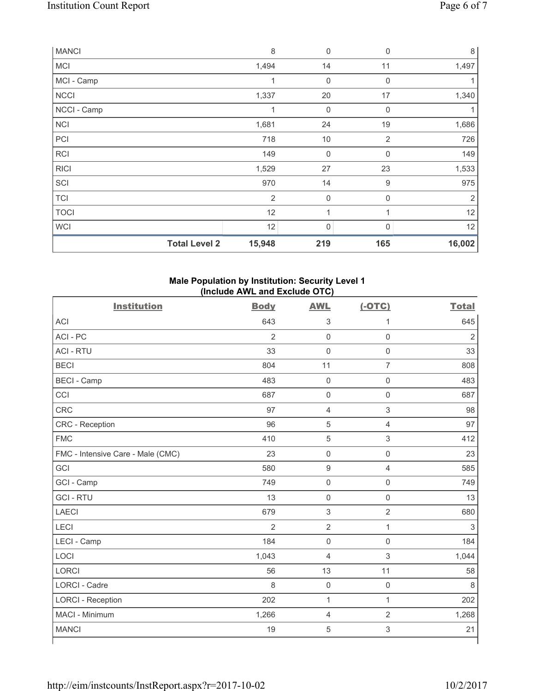| <b>MANCI</b> | 8                              | $\mathbf 0$ | $\mathbf 0$    | 8              |
|--------------|--------------------------------|-------------|----------------|----------------|
| <b>MCI</b>   | 1,494                          | 14          | 11             | 1,497          |
| MCI - Camp   | 1                              | 0           | $\mathbf 0$    |                |
| <b>NCCI</b>  | 1,337                          | 20          | 17             | 1,340          |
| NCCI - Camp  | 1                              | $\mathbf 0$ | $\mathbf 0$    |                |
| <b>NCI</b>   | 1,681                          | 24          | 19             | 1,686          |
| PCI          | 718                            | 10          | $\overline{2}$ | 726            |
| RCI          | 149                            | $\mathbf 0$ | $\mathbf 0$    | 149            |
| <b>RICI</b>  | 1,529                          | 27          | 23             | 1,533          |
| SCI          | 970                            | 14          | 9              | 975            |
| <b>TCI</b>   | $\overline{2}$                 | $\mathbf 0$ | $\mathbf 0$    | $\overline{2}$ |
| <b>TOCI</b>  | 12                             | 1           | 1              | 12             |
| <b>WCI</b>   | 12                             | $\mathbf 0$ | 0              | 12             |
|              | <b>Total Level 2</b><br>15,948 | 219         | 165            | 16,002         |

# **Male Population by Institution: Security Level 1 (Include AWL and Exclude OTC)**

| <b>Institution</b>                | <b>Body</b>    | <b>AWL</b>          | $(-OTC)$            | <b>Total</b>   |
|-----------------------------------|----------------|---------------------|---------------------|----------------|
| <b>ACI</b>                        | 643            | $\sqrt{3}$          | 1                   | 645            |
| ACI-PC                            | $\overline{2}$ | $\mathbf 0$         | $\mathsf 0$         | $\overline{2}$ |
| <b>ACI - RTU</b>                  | 33             | $\mathbf 0$         | $\mathsf 0$         | 33             |
| <b>BECI</b>                       | 804            | 11                  | $\overline{7}$      | 808            |
| <b>BECI - Camp</b>                | 483            | $\mathbf 0$         | $\mathsf{O}\xspace$ | 483            |
| CCI                               | 687            | $\mathsf{O}\xspace$ | $\mathbf 0$         | 687            |
| CRC                               | 97             | $\overline{4}$      | $\mathsf 3$         | 98             |
| CRC - Reception                   | 96             | $\overline{5}$      | $\overline{4}$      | 97             |
| <b>FMC</b>                        | 410            | $\sqrt{5}$          | $\mathsf 3$         | 412            |
| FMC - Intensive Care - Male (CMC) | 23             | $\mathsf{O}\xspace$ | $\mathsf 0$         | 23             |
| GCI                               | 580            | $\boldsymbol{9}$    | $\overline{4}$      | 585            |
| GCI - Camp                        | 749            | $\mathsf{O}\xspace$ | $\mathsf{O}\xspace$ | 749            |
| <b>GCI-RTU</b>                    | 13             | $\mathbf 0$         | $\mathsf{O}\xspace$ | 13             |
| <b>LAECI</b>                      | 679            | $\sqrt{3}$          | $\overline{2}$      | 680            |
| LECI                              | $\overline{2}$ | $\overline{2}$      | $\mathbf{1}$        | 3              |
| LECI - Camp                       | 184            | $\mathsf{O}\xspace$ | $\mathsf{O}\xspace$ | 184            |
| LOCI                              | 1,043          | $\overline{4}$      | 3                   | 1,044          |
| <b>LORCI</b>                      | 56             | 13                  | 11                  | 58             |
| <b>LORCI - Cadre</b>              | 8              | $\mathbf 0$         | $\mathsf 0$         | 8              |
| <b>LORCI - Reception</b>          | 202            | $\mathbf{1}$        | $\mathbf{1}$        | 202            |
| MACI - Minimum                    | 1,266          | $\overline{4}$      | $\overline{2}$      | 1,268          |
| <b>MANCI</b>                      | 19             | $\sqrt{5}$          | 3                   | 21             |